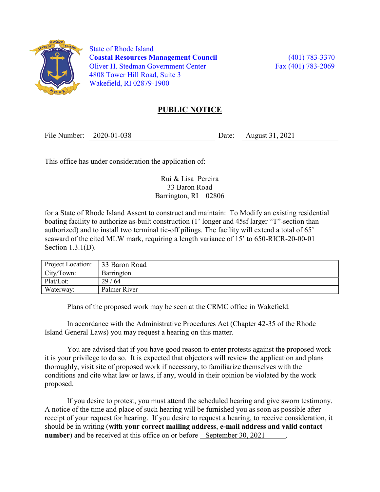

 State of Rhode Island Coastal Resources Management Council (401) 783-3370 Oliver H. Stedman Government Center Fax (401) 783-2069 4808 Tower Hill Road, Suite 3 Wakefield, RI 02879-1900

## PUBLIC NOTICE

File Number: 2020-01-038 Date: August 31, 2021

This office has under consideration the application of:

## Rui & Lisa Pereira 33 Baron Road Barrington, RI 02806

for a State of Rhode Island Assent to construct and maintain: To Modify an existing residential boating facility to authorize as-built construction (1' longer and 45sf larger "T"-section than authorized) and to install two terminal tie-off pilings. The facility will extend a total of 65' seaward of the cited MLW mark, requiring a length variance of 15' to 650-RICR-20-00-01 Section 1.3.1(D).

| Project Location: | 33 Baron Road |
|-------------------|---------------|
| City/Town:        | Barrington    |
| Plat/Lot:         | 29/64         |
| Waterway:         | Palmer River  |

Plans of the proposed work may be seen at the CRMC office in Wakefield.

In accordance with the Administrative Procedures Act (Chapter 42-35 of the Rhode Island General Laws) you may request a hearing on this matter.

You are advised that if you have good reason to enter protests against the proposed work it is your privilege to do so. It is expected that objectors will review the application and plans thoroughly, visit site of proposed work if necessary, to familiarize themselves with the conditions and cite what law or laws, if any, would in their opinion be violated by the work proposed.

If you desire to protest, you must attend the scheduled hearing and give sworn testimony. A notice of the time and place of such hearing will be furnished you as soon as possible after receipt of your request for hearing. If you desire to request a hearing, to receive consideration, it should be in writing (with your correct mailing address, e-mail address and valid contact number) and be received at this office on or before September 30, 2021